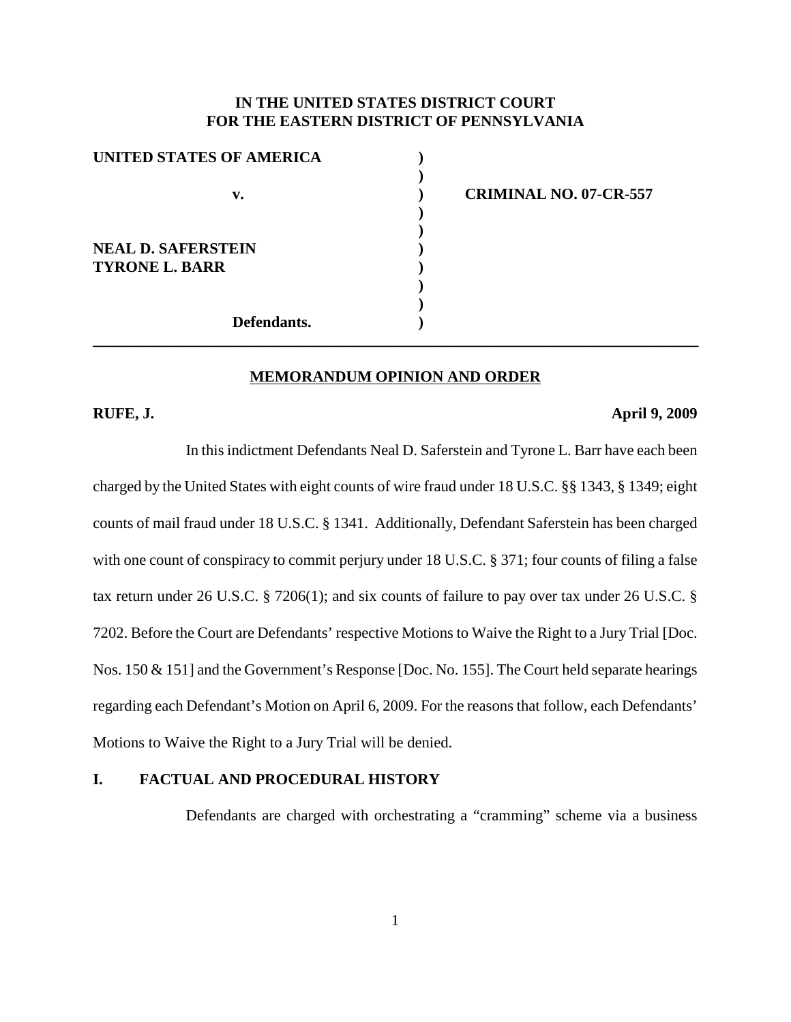# **IN THE UNITED STATES DISTRICT COURT FOR THE EASTERN DISTRICT OF PENNSYLVANIA**

**)**

**) )**

**) )**

| UNITED STATES OF AMERICA  |  |
|---------------------------|--|
|                           |  |
| v.                        |  |
|                           |  |
| <b>NEAL D. SAFERSTEIN</b> |  |
|                           |  |
| <b>TYRONE L. BARR</b>     |  |
|                           |  |
|                           |  |
| Defendants.               |  |

**v. ) CRIMINAL NO. 07-CR-557**

# **MEMORANDUM OPINION AND ORDER**

**\_\_\_\_\_\_\_\_\_\_\_\_\_\_\_\_\_\_\_\_\_\_\_\_\_\_\_\_\_\_\_\_\_\_\_\_\_\_\_\_\_\_\_\_\_\_\_\_\_\_\_\_\_\_\_\_\_\_\_\_\_\_\_\_\_\_\_\_\_\_\_\_\_\_\_\_\_\_**

### **RUFE, J. April 9, 2009**

In this indictment Defendants Neal D. Saferstein and Tyrone L. Barr have each been charged by the United States with eight counts of wire fraud under 18 U.S.C. §§ 1343, § 1349; eight counts of mail fraud under 18 U.S.C. § 1341. Additionally, Defendant Saferstein has been charged with one count of conspiracy to commit perjury under 18 U.S.C. § 371; four counts of filing a false tax return under 26 U.S.C. § 7206(1); and six counts of failure to pay over tax under 26 U.S.C. § 7202. Before the Court are Defendants' respective Motions to Waive the Right to a Jury Trial [Doc. Nos. 150 & 151] and the Government's Response [Doc. No. 155]. The Court held separate hearings regarding each Defendant's Motion on April 6, 2009. For the reasons that follow, each Defendants' Motions to Waive the Right to a Jury Trial will be denied.

# **I. FACTUAL AND PROCEDURAL HISTORY**

Defendants are charged with orchestrating a "cramming" scheme via a business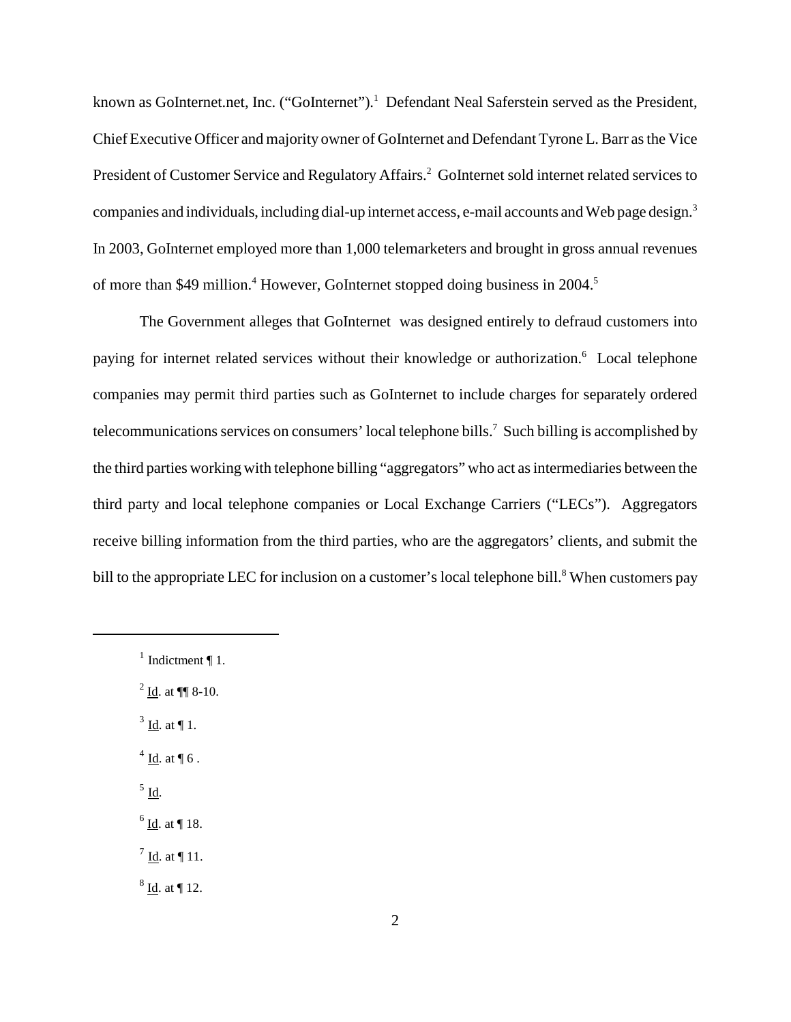known as GoInternet.net, Inc. ("GoInternet").<sup>1</sup> Defendant Neal Saferstein served as the President, Chief Executive Officer and majority owner of GoInternet and Defendant Tyrone L. Barr asthe Vice President of Customer Service and Regulatory Affairs.<sup>2</sup> GoInternet sold internet related services to companies and individuals, including dial-up internet access, e-mail accounts and Web page design.<sup>3</sup> In 2003, GoInternet employed more than 1,000 telemarketers and brought in gross annual revenues of more than \$49 million.<sup>4</sup> However, GoInternet stopped doing business in 2004.<sup>5</sup>

The Government alleges that GoInternet was designed entirely to defraud customers into paying for internet related services without their knowledge or authorization.<sup>6</sup> Local telephone companies may permit third parties such as GoInternet to include charges for separately ordered telecommunications services on consumers' local telephone bills.<sup>7</sup> Such billing is accomplished by the third parties working with telephone billing "aggregators" who act as intermediaries between the third party and local telephone companies or Local Exchange Carriers ("LECs"). Aggregators receive billing information from the third parties, who are the aggregators' clients, and submit the bill to the appropriate LEC for inclusion on a customer's local telephone bill.<sup>8</sup> When customers pay

 $^{2}$  Id. at ¶ 8-10.

- $3$  <u>Id</u>. at ¶ 1.
- $4$  Id. at ¶ 6.
- $<sup>5</sup>$  Id.</sup>
- $<sup>6</sup>$  Id. at ¶ 18.</sup>
- $<sup>7</sup>$  Id. at ¶ 11.</sup>
- $8$  <u>Id</u>. at ¶ 12.

<sup>&</sup>lt;sup>1</sup> Indictment  $\P$  1.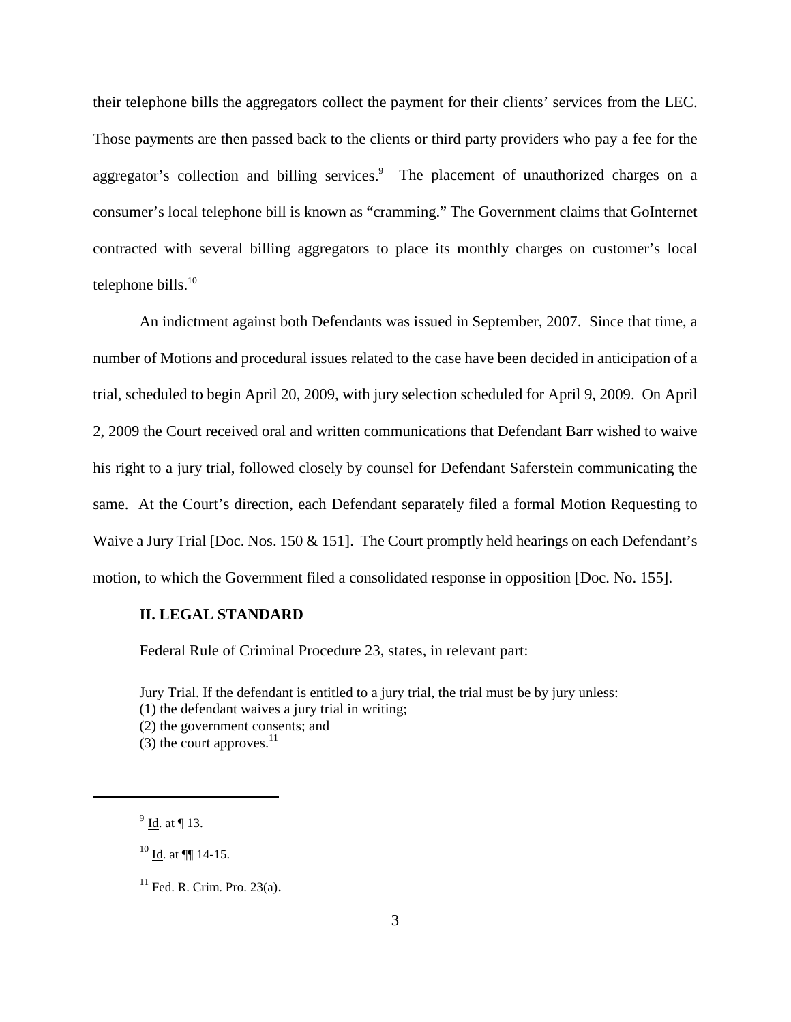their telephone bills the aggregators collect the payment for their clients' services from the LEC. Those payments are then passed back to the clients or third party providers who pay a fee for the aggregator's collection and billing services.<sup>9</sup> The placement of unauthorized charges on a consumer's local telephone bill is known as "cramming." The Government claims that GoInternet contracted with several billing aggregators to place its monthly charges on customer's local telephone bills.<sup>10</sup>

An indictment against both Defendants was issued in September, 2007. Since that time, a number of Motions and procedural issues related to the case have been decided in anticipation of a trial, scheduled to begin April 20, 2009, with jury selection scheduled for April 9, 2009. On April 2, 2009 the Court received oral and written communications that Defendant Barr wished to waive his right to a jury trial, followed closely by counsel for Defendant Saferstein communicating the same. At the Court's direction, each Defendant separately filed a formal Motion Requesting to Waive a Jury Trial [Doc. Nos. 150 & 151]. The Court promptly held hearings on each Defendant's motion, to which the Government filed a consolidated response in opposition [Doc. No. 155].

#### **II. LEGAL STANDARD**

Federal Rule of Criminal Procedure 23, states, in relevant part:

Jury Trial. If the defendant is entitled to a jury trial, the trial must be by jury unless:

(1) the defendant waives a jury trial in writing;

(2) the government consents; and

 $(3)$  the court approves.<sup>11</sup>

<sup>9</sup> Id. at ¶ 13.

 $^{10}$  Id. at  $\P$  14-15.

 $11$  Fed. R. Crim. Pro. 23(a).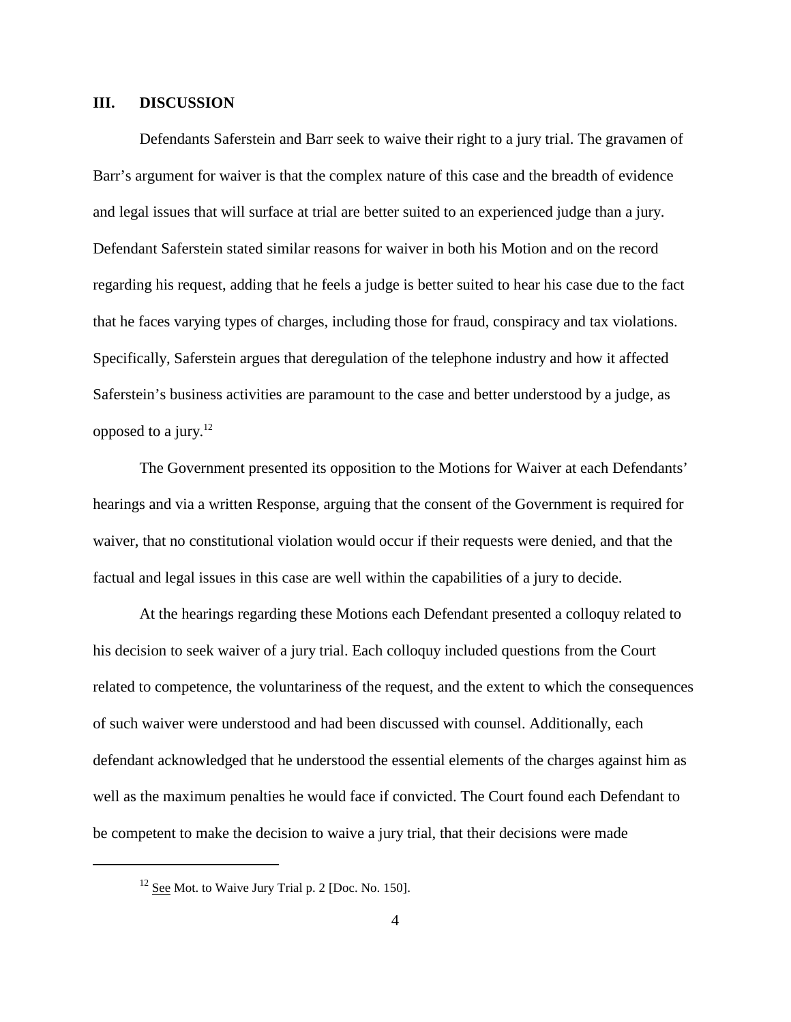# **III. DISCUSSION**

Defendants Saferstein and Barr seek to waive their right to a jury trial. The gravamen of Barr's argument for waiver is that the complex nature of this case and the breadth of evidence and legal issues that will surface at trial are better suited to an experienced judge than a jury. Defendant Saferstein stated similar reasons for waiver in both his Motion and on the record regarding his request, adding that he feels a judge is better suited to hear his case due to the fact that he faces varying types of charges, including those for fraud, conspiracy and tax violations. Specifically, Saferstein argues that deregulation of the telephone industry and how it affected Saferstein's business activities are paramount to the case and better understood by a judge, as opposed to a jury. 12

The Government presented its opposition to the Motions for Waiver at each Defendants' hearings and via a written Response, arguing that the consent of the Government is required for waiver, that no constitutional violation would occur if their requests were denied, and that the factual and legal issues in this case are well within the capabilities of a jury to decide.

At the hearings regarding these Motions each Defendant presented a colloquy related to his decision to seek waiver of a jury trial. Each colloquy included questions from the Court related to competence, the voluntariness of the request, and the extent to which the consequences of such waiver were understood and had been discussed with counsel. Additionally, each defendant acknowledged that he understood the essential elements of the charges against him as well as the maximum penalties he would face if convicted. The Court found each Defendant to be competent to make the decision to waive a jury trial, that their decisions were made

 $12$  See Mot. to Waive Jury Trial p. 2 [Doc. No. 150].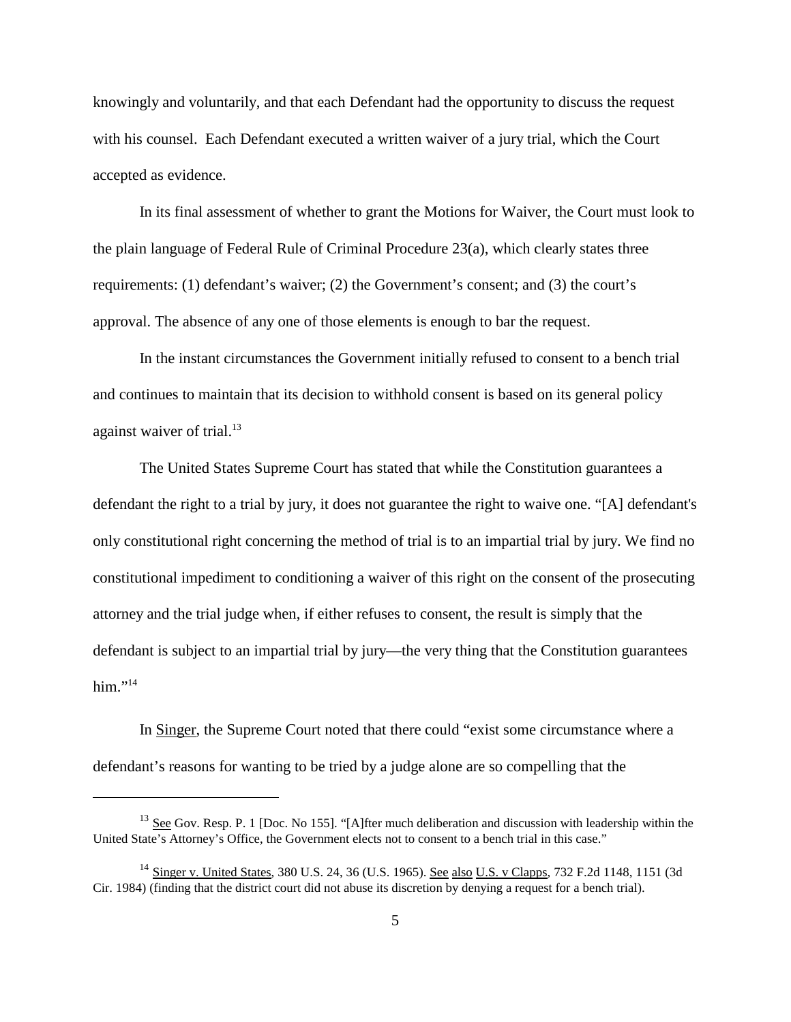knowingly and voluntarily, and that each Defendant had the opportunity to discuss the request with his counsel. Each Defendant executed a written waiver of a jury trial, which the Court accepted as evidence.

In its final assessment of whether to grant the Motions for Waiver, the Court must look to the plain language of Federal Rule of Criminal Procedure 23(a), which clearly states three requirements: (1) defendant's waiver; (2) the Government's consent; and (3) the court's approval. The absence of any one of those elements is enough to bar the request.

In the instant circumstances the Government initially refused to consent to a bench trial and continues to maintain that its decision to withhold consent is based on its general policy against waiver of trial.<sup>13</sup>

The United States Supreme Court has stated that while the Constitution guarantees a defendant the right to a trial by jury, it does not guarantee the right to waive one. "[A] defendant's only constitutional right concerning the method of trial is to an impartial trial by jury. We find no constitutional impediment to conditioning a waiver of this right on the consent of the prosecuting attorney and the trial judge when, if either refuses to consent, the result is simply that the defendant is subject to an impartial trial by jury—the very thing that the Constitution guarantees him." $^{14}$ 

In Singer, the Supreme Court noted that there could "exist some circumstance where a defendant's reasons for wanting to be tried by a judge alone are so compelling that the

 $13$  See Gov. Resp. P. 1 [Doc. No 155]. "[A]fter much deliberation and discussion with leadership within the United State's Attorney's Office, the Government elects not to consent to a bench trial in this case."

<sup>&</sup>lt;sup>14</sup> Singer v. United States, 380 U.S. 24, 36 (U.S. 1965). See also U.S. v Clapps, 732 F.2d 1148, 1151 (3d Cir. 1984) (finding that the district court did not abuse its discretion by denying a request for a bench trial).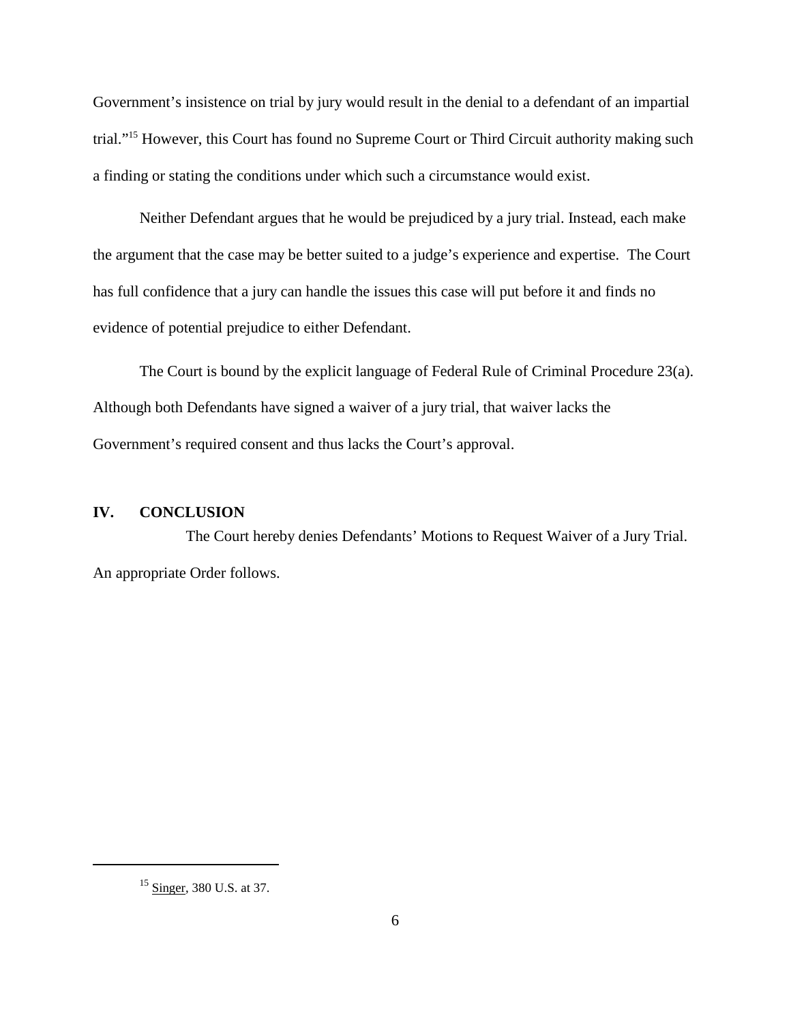Government's insistence on trial by jury would result in the denial to a defendant of an impartial trial."15 However, this Court has found no Supreme Court or Third Circuit authority making such a finding or stating the conditions under which such a circumstance would exist.

Neither Defendant argues that he would be prejudiced by a jury trial. Instead, each make the argument that the case may be better suited to a judge's experience and expertise. The Court has full confidence that a jury can handle the issues this case will put before it and finds no evidence of potential prejudice to either Defendant.

The Court is bound by the explicit language of Federal Rule of Criminal Procedure 23(a). Although both Defendants have signed a waiver of a jury trial, that waiver lacks the Government's required consent and thus lacks the Court's approval.

# **IV. CONCLUSION**

The Court hereby denies Defendants' Motions to Request Waiver of a Jury Trial. An appropriate Order follows.

<sup>&</sup>lt;sup>15</sup> Singer, 380 U.S. at 37.